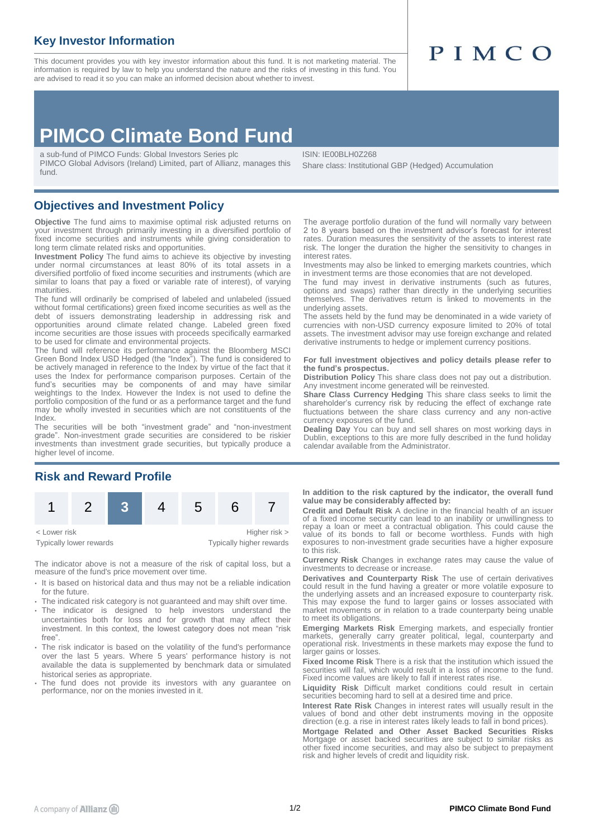### **Key Investor Information**

fund.

This document provides you with key investor information about this fund. It is not marketing material. The information is required by law to help you understand the nature and the risks of investing in this fund. You are advised to read it so you can make an informed decision about whether to invest.

# PIMCO

## **PIMCO Climate Bond Fund**

a sub-fund of PIMCO Funds: Global Investors Series plc PIMCO Global Advisors (Ireland) Limited, part of Allianz, manages this

ISIN: IE00BLH0Z268 Share class: Institutional GBP (Hedged) Accumulation

#### **Objectives and Investment Policy**

**Objective** The fund aims to maximise optimal risk adjusted returns on your investment through primarily investing in a diversified portfolio of fixed income securities and instruments while giving consideration to long term climate related risks and opportunities.

**Investment Policy** The fund aims to achieve its objective by investing under normal circumstances at least 80% of its total assets in a diversified portfolio of fixed income securities and instruments (which are similar to loans that pay a fixed or variable rate of interest), of varying maturities.

The fund will ordinarily be comprised of labeled and unlabeled (issued without formal certifications) green fixed income securities as well as the debt of issuers demonstrating leadership in addressing risk and opportunities around climate related change. Labeled green fixed income securities are those issues with proceeds specifically earmarked to be used for climate and environmental projects.

The fund will reference its performance against the Bloomberg MSCI Green Bond Index USD Hedged (the "Index"). The fund is considered to be actively managed in reference to the Index by virtue of the fact that it uses the Index for performance comparison purposes. Certain of the fund's securities may be components of and may have similar weightings to the Index. However the Index is not used to define the portfolio composition of the fund or as a performance target and the fund may be wholly invested in securities which are not constituents of the Index.

The securities will be both "investment grade" and "non-investment grade". Non-investment grade securities are considered to be riskier investments than investment grade securities, but typically produce a higher level of income.

#### **Risk and Reward Profile**



The indicator above is not a measure of the risk of capital loss, but a measure of the fund's price movement over time.

- It is based on historical data and thus may not be a reliable indication for the future
- The indicated risk category is not guaranteed and may shift over time.
- The indicator is designed to help investors understand the uncertainties both for loss and for growth that may affect their investment. In this context, the lowest category does not mean "risk free".
- The risk indicator is based on the volatility of the fund's performance over the last 5 years. Where 5 years' performance history is not available the data is supplemented by benchmark data or simulated historical series as appropriate.
- The fund does not provide its investors with any guarantee on performance, nor on the monies invested in it.

The average portfolio duration of the fund will normally vary between 2 to 8 years based on the investment advisor's forecast for interest rates. Duration measures the sensitivity of the assets to interest rate risk. The longer the duration the higher the sensitivity to changes in interest rates.

Investments may also be linked to emerging markets countries, which in investment terms are those economies that are not developed.

The fund may invest in derivative instruments (such as futures, options and swaps) rather than directly in the underlying securities themselves. The derivatives return is linked to movements in the underlying assets.

The assets held by the fund may be denominated in a wide variety of currencies with non-USD currency exposure limited to 20% of total assets. The investment advisor may use foreign exchange and related derivative instruments to hedge or implement currency positions.

#### **For full investment objectives and policy details please refer to the fund's prospectus.**

**Distribution Policy** This share class does not pay out a distribution. Any investment income generated will be reinvested.

**Share Class Currency Hedging** This share class seeks to limit the shareholder's currency risk by reducing the effect of exchange rate fluctuations between the share class currency and any non-active currency exposures of the fund.

**Dealing Day** You can buy and sell shares on most working days in Dublin, exceptions to this are more fully described in the fund holiday calendar available from the Administrator.

**In addition to the risk captured by the indicator, the overall fund value may be considerably affected by:**

**Credit and Default Risk** A decline in the financial health of an issuer of a fixed income security can lead to an inability or unwillingness to repay a loan or meet a contractual obligation. This could cause the value of its bonds to fall or become worthless. Funds with high exposures to non-investment grade securities have a higher exposure to this risk.

**Currency Risk** Changes in exchange rates may cause the value of investments to decrease or increase.

**Derivatives and Counterparty Risk** The use of certain derivatives could result in the fund having a greater or more volatile exposure to the underlying assets and an increased exposure to counterparty risk. This may expose the fund to larger gains or losses associated with market movements or in relation to a trade counterparty being unable to meet its obligations.

**Emerging Markets Risk** Emerging markets, and especially frontier markets, generally carry greater political, legal, counterparty and<br>operational risk. Investments in these markets may expose the fund to larger gains or losses.

**Fixed Income Risk** There is a risk that the institution which issued the securities will fail, which would result in a loss of income to the fund. Fixed income values are likely to fall if interest rates rise.

**Liquidity Risk** Difficult market conditions could result in certain securities becoming hard to sell at a desired time and price.

**Interest Rate Risk** Changes in interest rates will usually result in the values of bond and other debt instruments moving in the opposite direction (e.g. a rise in interest rates likely leads to fall in bond prices).

**Mortgage Related and Other Asset Backed Securities Risks** Mortgage or asset backed securities are subject to similar risks as other fixed income securities, and may also be subject to prepayment risk and higher levels of credit and liquidity risk.